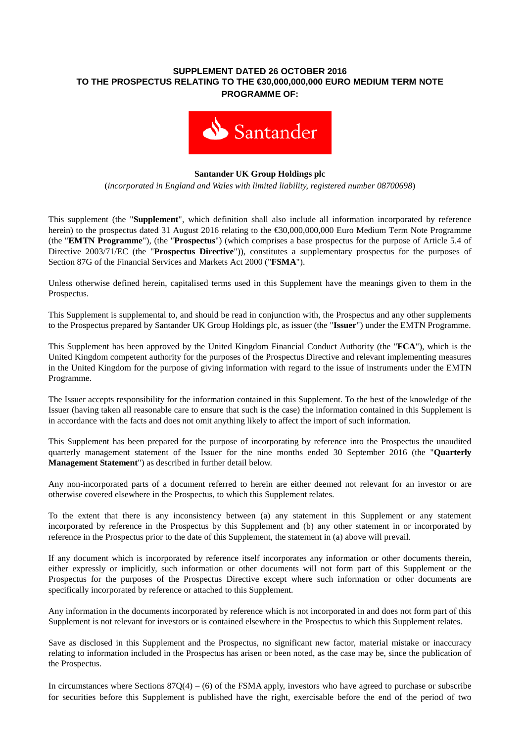## **SUPPLEMENT DATED 26 OCTOBER 2016 TO THE PROSPECTUS RELATING TO THE €30,000,000,000 EURO MEDIUM TERM NOTE PROGRAMME OF:**



## **Santander UK Group Holdings plc**

(*incorporated in England and Wales with limited liability, registered number 08700698*)

This supplement (the "**Supplement**", which definition shall also include all information incorporated by reference herein) to the prospectus dated 31 August 2016 relating to the €30,000,000,000 Euro Medium Term Note Programme (the "**EMTN Programme**"), (the "**Prospectus**") (which comprises a base prospectus for the purpose of Article 5.4 of Directive 2003/71/EC (the "**Prospectus Directive**")), constitutes a supplementary prospectus for the purposes of Section 87G of the Financial Services and Markets Act 2000 ("**FSMA**").

Unless otherwise defined herein, capitalised terms used in this Supplement have the meanings given to them in the Prospectus.

This Supplement is supplemental to, and should be read in conjunction with, the Prospectus and any other supplements to the Prospectus prepared by Santander UK Group Holdings plc, as issuer (the "**Issuer**") under the EMTN Programme.

This Supplement has been approved by the United Kingdom Financial Conduct Authority (the "**FCA**"), which is the United Kingdom competent authority for the purposes of the Prospectus Directive and relevant implementing measures in the United Kingdom for the purpose of giving information with regard to the issue of instruments under the EMTN Programme.

The Issuer accepts responsibility for the information contained in this Supplement. To the best of the knowledge of the Issuer (having taken all reasonable care to ensure that such is the case) the information contained in this Supplement is in accordance with the facts and does not omit anything likely to affect the import of such information.

This Supplement has been prepared for the purpose of incorporating by reference into the Prospectus the unaudited quarterly management statement of the Issuer for the nine months ended 30 September 2016 (the "**Quarterly Management Statement**") as described in further detail below.

Any non-incorporated parts of a document referred to herein are either deemed not relevant for an investor or are otherwise covered elsewhere in the Prospectus, to which this Supplement relates.

To the extent that there is any inconsistency between (a) any statement in this Supplement or any statement incorporated by reference in the Prospectus by this Supplement and (b) any other statement in or incorporated by reference in the Prospectus prior to the date of this Supplement, the statement in (a) above will prevail.

If any document which is incorporated by reference itself incorporates any information or other documents therein, either expressly or implicitly, such information or other documents will not form part of this Supplement or the Prospectus for the purposes of the Prospectus Directive except where such information or other documents are specifically incorporated by reference or attached to this Supplement.

Any information in the documents incorporated by reference which is not incorporated in and does not form part of this Supplement is not relevant for investors or is contained elsewhere in the Prospectus to which this Supplement relates.

Save as disclosed in this Supplement and the Prospectus, no significant new factor, material mistake or inaccuracy relating to information included in the Prospectus has arisen or been noted, as the case may be, since the publication of the Prospectus.

In circumstances where Sections  $87Q(4) - (6)$  of the FSMA apply, investors who have agreed to purchase or subscribe for securities before this Supplement is published have the right, exercisable before the end of the period of two